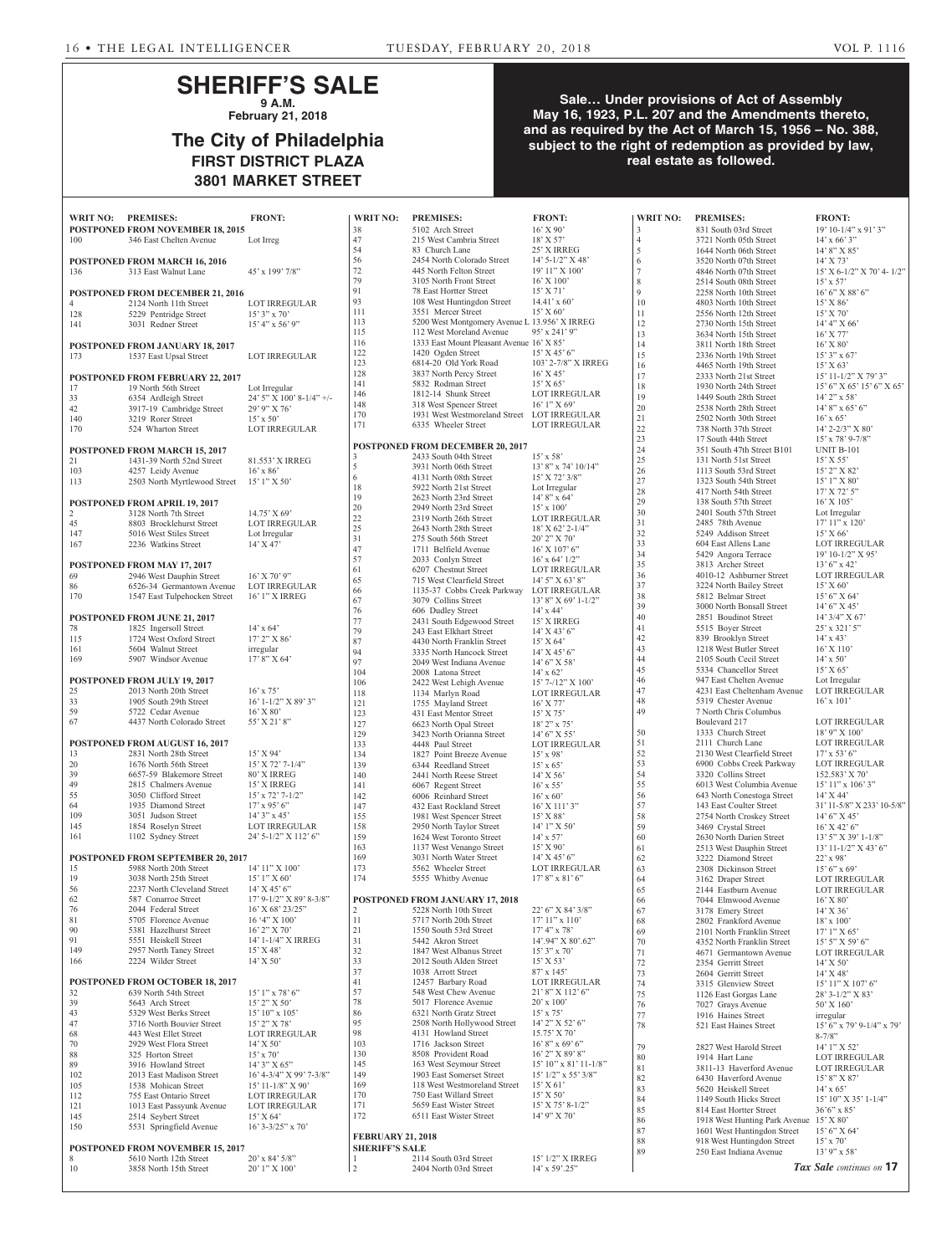## **SHERIFF'S SALE 9 A.M.**

**February 21, 2018**

# **The City of Philadelphia FIRST DISTRICT PLAZA 3801 MARKET STREET**

## **Sale… Under provisions of Act of Assembly May 16, 1923, P.L. 207 and the Amendments thereto, and as required by the Act of March 15, 1956 – No. 388, subject to the right of redemption as provided by law, real estate as followed.**

| WRIT NO: PREMISES:                                                        | <b>FRONT:</b>                                 | <b>WRIT NO:</b>          | <b>PREMISES:</b>                                                        | <b>FRONT:</b>                              | <b>WRIT NO:</b>     | <b>PREMISES:</b>                                                       | <b>FRONT:</b>                                 |
|---------------------------------------------------------------------------|-----------------------------------------------|--------------------------|-------------------------------------------------------------------------|--------------------------------------------|---------------------|------------------------------------------------------------------------|-----------------------------------------------|
| POSTPONED FROM NOVEMBER 18, 2015<br>100<br>346 East Chelten Avenue        | Lot Irreg                                     | 38<br>47                 | 5102 Arch Street<br>215 West Cambria Street                             | $16'$ X 90'<br>18' X 57'                   | 3<br>$\overline{4}$ | 831 South 03rd Street<br>3721 North 05th Street                        | 19' 10-1/4" x 91' 3"<br>$14'$ x 66' 3"        |
|                                                                           |                                               | 54                       | 83 Church Lane                                                          | 25' X IRREG                                | 5                   | 1644 North 06th Street                                                 | 14' 8" X 85'                                  |
| POSTPONED FROM MARCH 16, 2016                                             |                                               | 56<br>$72\,$             | 2454 North Colorado Street<br>445 North Felton Street                   | $14'$ 5-1/2" X 48'<br>19' 11" X 100'       | 6<br>7              | 3520 North 07th Street                                                 | $14'$ X 73'                                   |
| 136<br>313 East Walnut Lane                                               | 45' x 199' 7/8"                               | 79                       | 3105 North Front Street                                                 | 16' X 100'                                 | 8                   | 4846 North 07th Street<br>2514 South 08th Street                       | 15' X 6-1/2" X 70' 4-1/2"<br>$15' \times 57'$ |
| POSTPONED FROM DECEMBER 21, 2016                                          |                                               | 91                       | 78 East Hortter Street                                                  | $15'$ X 71'                                | 9                   | 2258 North 10th Street                                                 | 16' 6'' X 88' 6''                             |
| 4<br>2124 North 11th Street                                               | <b>LOT IRREGULAR</b>                          | 93<br>111                | 108 West Huntingdon Street<br>3551 Mercer Street                        | $14.41' \times 60'$<br>$15'$ X 60'         | 10<br>11            | 4803 North 10th Street<br>2556 North 12th Street                       | $15'$ X $86'$<br>15' X 70'                    |
| 128<br>5229 Pentridge Street<br>141<br>3031 Redner Street                 | $15'3''$ x 70'<br>$15' 4''$ x 56' 9"          | 113                      | 5200 West Montgomery Avenue L 13.956' X IRREG                           |                                            | 12                  | 2730 North 15th Street                                                 | 14' 4'' X 66'                                 |
|                                                                           |                                               | 115                      | 112 West Moreland Avenue                                                | 95' x 241' 9"                              | 13                  | 3634 North 15th Street                                                 | $16'$ X 77'                                   |
| <b>POSTPONED FROM JANUARY 18, 2017</b><br>173<br>1537 East Upsal Street   | LOT IRREGULAR                                 | 116<br>122               | 1333 East Mount Pleasant Avenue 16' X 85'<br>1420 Ogden Street          | $15'$ X 45' 6"                             | 14<br>15            | 3811 North 18th Street<br>2336 North 19th Street                       | $16'$ X $80'$<br>$15'3''$ x 67'               |
|                                                                           |                                               | 123                      | 6814-20 Old York Road                                                   | 103' 2-7/8" X IRREG                        | 16                  | 4465 North 19th Street                                                 | 15' X 63'                                     |
| POSTPONED FROM FEBRUARY 22, 2017                                          |                                               | 128<br>141               | 3837 North Percy Street<br>5832 Rodman Street                           | $16'$ X 45'<br>15' X 65'                   | 17                  | 2333 North 21st Street                                                 | 15' 11-1/2" X 79' 3"                          |
| 17<br>19 North 56th Street<br>33<br>6354 Ardleigh Street                  | Lot Irregular<br>24' 5" X 100' 8-1/4" +/-     | 146                      | 1812-14 Shunk Street                                                    | <b>LOT IRREGULAR</b>                       | 18<br>19            | 1930 North 24th Street<br>1449 South 28th Street                       | 15' 6" X 65' 15' 6" X 65'<br>$14'$ 2" x 58'   |
| 42<br>3917-19 Cambridge Street                                            | 29' 9" X 76'                                  | 148                      | 318 West Spencer Street                                                 | $16'1''$ X 69'                             | 20                  | 2538 North 28th Street                                                 | $14'8''$ x 65' 6"                             |
| 140<br>3219 Rorer Street                                                  | $15' \times 50'$                              | 170<br>171               | 1931 West Westmoreland Street LOT IRREGULAR<br>6335 Wheeler Street      | <b>LOT IRREGULAR</b>                       | 21                  | 2502 North 30th Street                                                 | $16'$ x 65'                                   |
| 170<br>524 Wharton Street                                                 | <b>LOT IRREGULAR</b>                          |                          |                                                                         |                                            | $22\,$<br>23        | 738 North 37th Street<br>17 South 44th Street                          | $14'$ 2-2/3" X 80"<br>15' x 78' 9-7/8"        |
| POSTPONED FROM MARCH 15, 2017                                             |                                               |                          | POSTPONED FROM DECEMBER 20, 2017                                        |                                            | 24                  | 351 South 47th Street B101                                             | <b>UNIT B-101</b>                             |
| 21<br>1431-39 North 52nd Street                                           | 81.553' X IRREG                               | 3<br>$\sqrt{5}$          | 2433 South 04th Street<br>3931 North 06th Street                        | $15'$ x 58'<br>$13'8''$ x 74' $10/14''$    | 25                  | 131 North 51st Street                                                  | $15'$ X 55'                                   |
| 103<br>4257 Leidy Avenue<br>113<br>2503 North Myrtlewood Street           | $16'$ x $86'$<br>15' 1" X 50'                 | 6                        | 4131 North 08th Street                                                  | $15'$ X 72' 3/8"                           | 26<br>27            | 1113 South 53rd Street<br>1323 South 54th Street                       | 15' 2" X 82'<br>15' 1" X 80'                  |
|                                                                           |                                               | 18                       | 5922 North 21st Street                                                  | Lot Irregular                              | 28                  | 417 North 54th Street                                                  | 17' X 72' 5"                                  |
| POSTPONED FROM APRIL 19, 2017                                             |                                               | 19<br>20                 | 2623 North 23rd Street<br>2949 North 23rd Street                        | $14'8''$ x 64'<br>$15' \times 100'$        | 29                  | 138 South 57th Street                                                  | $16'$ X $105'$                                |
| $\overline{2}$<br>3128 North 7th Street<br>45<br>8803 Brocklehurst Street | $14.75'$ X 69'<br><b>LOT IRREGULAR</b>        | $\frac{22}{25}$          | 2319 North 26th Street                                                  | LOT IRREGULAR                              | 30<br>31            | 2401 South 57th Street<br>2485 78th Avenue                             | Lot Irregular<br>17' 11" x 120'               |
| 147<br>5016 West Stiles Street                                            | Lot Irregular                                 |                          | 2643 North 28th Street                                                  | $18'$ X 62' 2-1/4"                         | 32                  | 5249 Addison Street                                                    | 15' X 66'                                     |
| 167<br>2236 Watkins Street                                                | 14' X 47'                                     | 31<br>47                 | 275 South 56th Street<br>1711 Belfield Avenue                           | 20' 2" X 70'<br>$16'$ X $107'$ 6"          | 33                  | 604 East Allens Lane                                                   | LOT IRREGULAR                                 |
|                                                                           |                                               | 57                       | 2033 Conlyn Street                                                      | $16'$ x 64' $1/2"$                         | 34<br>35            | 5429 Angora Terrace<br>3813 Archer Street                              | $19' 10 - 1/2'' X 95'$<br>$13'6''$ x 42'      |
| POSTPONED FROM MAY 17, 2017<br>69<br>2946 West Dauphin Street             | $16'$ X 70' 9"                                | 61                       | 6207 Chestnut Street                                                    | LOT IRREGULAR                              | 36                  | 4010-12 Ashburner Street                                               | <b>LOT IRREGULAR</b>                          |
| 86<br>6526-34 Germantown Avenue                                           | <b>LOT IRREGULAR</b>                          | 65<br>66                 | 715 West Clearfield Street<br>1135-37 Cobbs Creek Parkway LOT IRREGULAR | 14' 5" X 63' 8"                            | 37                  | 3224 North Bailey Street                                               | $15'$ X 60'                                   |
| 170<br>1547 East Tulpehocken Street                                       | 16' 1" X IRREG                                | 67                       | 3079 Collins Street                                                     | $13'8''$ X 69' 1-1/2"                      | 38                  | 5812 Belmar Street                                                     | 15' 6" X 64'                                  |
| POSTPONED FROM JUNE 21, 2017                                              |                                               | 76                       | 606 Dudley Street                                                       | $14'$ x 44'                                | 39<br>40            | 3000 North Bonsall Street<br>2851 Boudinot Street                      | 14' 6" X 45'<br>$14'$ 3/4" X 67'              |
| 78<br>1825 Ingersoll Street                                               | $14'$ x 64'                                   | 77<br>79                 | 2431 South Edgewood Street<br>243 East Elkhart Street                   | 15' X IRREG<br>$14'$ X 43' 6"              | 41                  | 5515 Boyer Street                                                      | $25'$ x 321' 5"                               |
| 115<br>1724 West Oxford Street                                            | $17'$ 2" X 86'                                | 87                       | 4430 North Franklin Street                                              | 15' X 64'                                  | 42                  | 839 Brooklyn Street                                                    | $14'$ x $43'$                                 |
| 161<br>5604 Walnut Street<br>169<br>5907 Windsor Avenue                   | irregular<br>$17'8''$ X 64'                   | 94                       | 3335 North Hancock Street                                               | $14'$ X 45' 6"                             | 43<br>44            | 1218 West Butler Street<br>2105 South Cecil Street                     | $16'$ X $110'$<br>$14' \times 50'$            |
|                                                                           |                                               | 97<br>104                | 2049 West Indiana Avenue<br>2008 Latona Street                          | $14'6''$ X 58'<br>$14'$ x 62'              | 45                  | 5334 Chancellor Street                                                 | 15' X 65'                                     |
| POSTPONED FROM JULY 19, 2017                                              |                                               | 106                      | 2422 West Lehigh Avenue                                                 | $15'$ 7-/12" X 100'                        | 46                  | 947 East Chelten Avenue                                                | Lot Irregular                                 |
| 25<br>2013 North 20th Street<br>33<br>1905 South 29th Street              | $16'$ x 75'<br>$16'$ 1-1/2" X 89' 3"          | 118                      | 1134 Marlyn Road                                                        | <b>LOT IRREGULAR</b>                       | 47<br>48            | 4231 East Cheltenham Avenue<br>5319 Chester Avenue                     | LOT IRREGULAR<br>$16'$ x $101'$               |
| 59<br>5722 Cedar Avenue                                                   | $16'$ X $80'$                                 | 121<br>123               | 1755 Mayland Street<br>431 East Mentor Street                           | $16'$ X 77'<br>$15'$ X 75'                 | 49                  | 7 North Chris Columbus                                                 |                                               |
| 67<br>4437 North Colorado Street                                          | 55' X 21' 8"                                  | 127                      | 6623 North Opal Street                                                  | $18'$ 2" x 75"                             |                     | Boulevard 217                                                          | <b>LOT IRREGULAR</b>                          |
| POSTPONED FROM AUGUST 16, 2017                                            |                                               | 129<br>133               | 3423 North Orianna Street<br>4448 Paul Street                           | $14'6''$ X 55                              | 50<br>51            | 1333 Church Street<br>2111 Church Lane                                 | $18'$ 9" X $100'$<br>LOT IRREGULAR            |
| 13<br>2831 North 28th Street                                              | $15'$ X 94'                                   | 134                      | 1827 Point Breeze Avenue                                                | <b>LOT IRREGULAR</b><br>$15'$ x 98'        | 52                  | 2130 West Clearfield Street                                            | $17'$ x 53' 6"                                |
| 20<br>1676 North 56th Street                                              | $15'$ X 72' 7-1/4"                            | 139                      | 6344 Reedland Street                                                    | $15'$ x 65'                                | 53                  | 6900 Cobbs Creek Parkway                                               | LOT IRREGULAR                                 |
| 39<br>6657-59 Blakemore Street<br>49<br>2815 Chalmers Avenue              | 80' X IRREG<br>15' X IRREG                    | 140<br>141               | 2441 North Reese Street<br>6067 Regent Street                           | $14'$ X 56'<br>$16'$ x 55'                 | 54<br>55            | 3320 Collins Street<br>6013 West Columbia Avenue                       | 152.583' X 70'<br>$15'$ $11''$ x $106'$ $3''$ |
| 55<br>3050 Clifford Street                                                | $15'$ x $72'$ 7-1/2"                          | 142                      | 6006 Reinhard Street                                                    | $16'$ x 60'                                | 56                  | 643 North Conestoga Street                                             | $14'$ X 44'                                   |
| 64<br>1935 Diamond Street                                                 | $17'$ x 95' 6"                                | 147                      | 432 East Rockland Street                                                | $16'$ X $111'$ 3"                          | 57                  | 143 East Coulter Street                                                | 31' 11-5/8" X 233' 10-5/8"                    |
| 109<br>3051 Judson Street<br>145<br>1854 Roselyn Street                   | $14'3''$ x 45'<br>LOT IRREGULAR               | 155<br>158               | 1981 West Spencer Street<br>2950 North Taylor Street                    | $15'$ X 88'<br>$14'1''$ X 50'              | 58<br>59            | 2754 North Croskey Street<br>3469 Crystal Street                       | $14'6''$ X 45'<br>$16'$ X 42' 6"              |
| 161<br>1102 Sydney Street                                                 | 24' 5-1/2" X 112' 6"                          | 159                      | 1624 West Toronto Street                                                | $14'$ x 57'                                | 60                  | 2630 North Darien Street                                               | 13' 5" X 39' 1-1/8"                           |
|                                                                           |                                               | 163                      | 1137 West Venango Street                                                | 15' X 90'                                  | 61                  | 2513 West Dauphin Street                                               | $13' 11 - 1/2''$ X 43' 6"                     |
| <b>POSTPONED FROM SEPTEMBER 20, 2017</b><br>15<br>5988 North 20th Street  | 14' 11" X 100'                                | 169<br>173               | 3031 North Water Street<br>5562 Wheeler Street                          | $14'$ X 45' 6"<br><b>LOT IRREGULAR</b>     | 62<br>63            | 3222 Diamond Street<br>2308 Dickinson Street                           | $22'$ x 98'<br>$15'6''$ x 69'                 |
| 19<br>3038 North 25th Street                                              | $15'1''$ X 60'                                | 174                      | 5555 Whitby Avenue                                                      | $17'8''$ x 81'6"                           | 64                  | 3162 Draper Street                                                     | LOT IRREGULAR                                 |
| 56<br>2237 North Cleveland Street                                         | $14'$ X 45' 6"                                |                          |                                                                         |                                            | 65                  | 2144 Eastburn Avenue                                                   | LOT IRREGULAR                                 |
| 62<br>587 Conarroe Street<br>76<br>2044 Federal Street                    | 17' 9-1/2" X 89' 8-3/8"<br>$16'$ X 68' 23/25" | $\overline{2}$           | POSTPONED FROM JANUARY 17, 2018<br>5228 North 10th Street               | 22' 6" X 84' 3/8"                          | 66<br>67            | 7044 Elmwood Avenue<br>3178 Emery Street                               | $16'$ X $80'$<br>$14'$ X 36'                  |
| 81<br>5705 Florence Avenue                                                | $16'4''$ X $100'$                             | 11                       | 5717 North 20th Street                                                  | $17' 11''$ x $110'$                        | 68                  | 2802 Frankford Avenue                                                  | $18' \times 100'$                             |
| 90<br>5381 Hazelhurst Street<br>91                                        | $16'$ 2" X 70"                                | 21                       | 1550 South 53rd Street                                                  | $17'4''$ x 78'                             | 69                  | 2101 North Franklin Street                                             | $17'1''$ X 65'                                |
| 5551 Heiskell Street<br>149<br>2957 North Taney Street                    | 14' 1-1/4" X IRREG<br>$15'$ X 48'             | 31<br>32                 | 5442 Akron Street<br>1847 West Albanus Street                           | 14'.94" X 80'.62"<br>$15'3''$ x 70'        | 70<br>71            | 4352 North Franklin Street<br>4671 Germantown Avenue                   | $15'$ 5" X 59' 6"<br>LOT IRREGULAR            |
| 2224 Wilder Street<br>166                                                 | $14'$ X 50'                                   | 33                       | 2012 South Alden Street                                                 | 15' X 53'                                  | $72\,$              | 2354 Gerritt Street                                                    | $14'$ X 50'                                   |
|                                                                           |                                               | 37                       | 1038 Arrott Street                                                      | 87' x 145'                                 | 73                  | 2604 Gerritt Street                                                    | $14'$ X 48'                                   |
| POSTPONED FROM OCTOBER 18, 2017<br>32<br>639 North 54th Street            | $15'1''$ x 78' 6"                             | 41<br>57                 | 12457 Barbary Road<br>548 West Chew Avenue                              | <b>LOT IRREGULAR</b><br>21' 8" X 112' 6"   | 74<br>75            | 3315 Glenview Street<br>1126 East Gorgas Lane                          | 15' 11" X 107' 6"<br>28' 3-1/2" X 83'         |
| 39<br>5643 Arch Street                                                    | $15'$ 2" X 50"                                | 78                       | 5017 Florence Avenue                                                    | $20'$ x $100'$                             | 76                  | 7027 Grays Avenue                                                      | 50' X 160'                                    |
| 43<br>5329 West Berks Street                                              | $15' 10''$ x $105'$                           | 86<br>95                 | 6321 North Gratz Street<br>2508 North Hollywood Street                  | $15'$ x 75'<br>14' 2" X 52' 6"             | 77                  | 1916 Haines Street                                                     | irregular                                     |
| 47<br>3716 North Bouvier Street<br>68<br>443 West Ellet Street            | 15' 2" X 78'<br>LOT IRREGULAR                 | 98                       | 4131 Howland Street                                                     | $15.75'$ X 70'                             | 78                  | 521 East Haines Street                                                 | $15'$ 6" x 79' 9-1/4" x 79'<br>$8 - 7/8$ "    |
| 70<br>2929 West Flora Street                                              | $14'$ X 50'                                   | 103                      | 1716 Jackson Street                                                     | $16'8''$ x 69' 6"                          | 79                  | 2827 West Harold Street                                                | 14' 1" X 52'                                  |
| 88<br>325 Horton Street                                                   | $15' \times 70'$                              | 130<br>145               | 8508 Provident Road                                                     | 16' 2" X 89' 8"<br>$15'10''$ x 81' 11-1/8" | 80                  | 1914 Hart Lane                                                         | <b>LOT IRREGULAR</b>                          |
| 89<br>3916 Howland Street<br>102<br>2013 East Madison Street              | $14'3''$ X 65"<br>16' 4-3/4" X 99' 7-3/8"     | 149                      | 163 West Seymour Street<br>1903 East Somerset Street                    | $15'$ $1/2"$ x 55' $3/8"$                  | 81<br>82            | 3811-13 Haverford Avenue<br>6430 Haverford Avenue                      | LOT IRREGULAR                                 |
| 105<br>1538 Mohican Street                                                | $15'$ 11-1/8" X 90"                           | 169                      | 118 West Westmoreland Street                                            | $15'$ X 61 <sup>3</sup>                    | 83                  | 5620 Heiskell Street                                                   | 15' 8" X 87'<br>$14'$ x 65'                   |
| 112<br>755 East Ontario Street                                            | LOT IRREGULAR                                 | 170<br>171               | 750 East Willard Street<br>5659 East Wister Street                      | $15'$ X 50'<br>$15'$ X 75' 8-1/2"          | 84                  | 1149 South Hicks Street                                                | 15' 10" X 35' 1-1/4"                          |
| 121<br>1013 East Passyunk Avenue<br>145<br>2514 Seybert Street            | <b>LOT IRREGULAR</b><br>15' X 64'             | 172                      | 6511 East Wister Street                                                 | 14' 9" X 70'                               | 85                  | 814 East Hortter Street                                                | $36'6''$ x 85'                                |
| 150<br>5531 Springfield Avenue                                            | $16'$ 3-3/25" x 70"                           |                          |                                                                         |                                            | 86<br>87            | 1918 West Hunting Park Avenue 15' X 80'<br>1601 West Huntingdon Street | 15' 6''  X 64'                                |
|                                                                           |                                               | <b>FEBRUARY 21, 2018</b> |                                                                         |                                            | 88                  | 918 West Huntingdon Street                                             | $15'$ x 70'                                   |
| POSTPONED FROM NOVEMBER 15, 2017<br>8<br>5610 North 12th Street           | $20'$ x 84' $5/8$ "                           | <b>SHERIFF'S SALE</b>    | 2114 South 03rd Street                                                  | 15' 1/2" X IRREG                           | 89                  | 250 East Indiana Avenue                                                | $13'$ 9" x 58'                                |
| 10<br>3858 North 15th Street                                              | 20' 1" X 100'                                 | $\overline{2}$           | 2404 North 03rd Street                                                  | $14'$ x 59'.25"                            |                     |                                                                        | Tax Sale continues on 17                      |
|                                                                           |                                               |                          |                                                                         |                                            |                     |                                                                        |                                               |